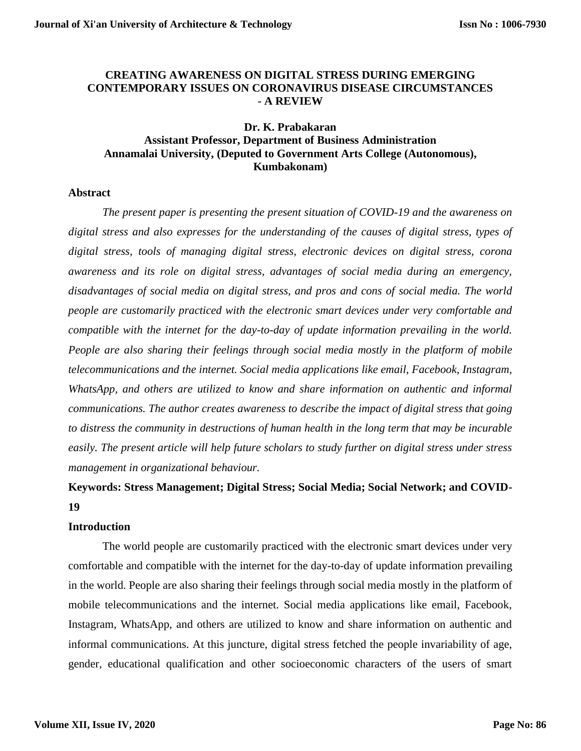# **CREATING AWARENESS ON DIGITAL STRESS DURING EMERGING CONTEMPORARY ISSUES ON CORONAVIRUS DISEASE CIRCUMSTANCES - A REVIEW**

# **Dr. K. Prabakaran Assistant Professor, Department of Business Administration Annamalai University, (Deputed to Government Arts College (Autonomous), Kumbakonam)**

# **Abstract**

*The present paper is presenting the present situation of COVID-19 and the awareness on digital stress and also expresses for the understanding of the causes of digital stress, types of digital stress, tools of managing digital stress, electronic devices on digital stress, corona awareness and its role on digital stress, advantages of social media during an emergency, disadvantages of social media on digital stress, and pros and cons of social media. The world people are customarily practiced with the electronic smart devices under very comfortable and compatible with the internet for the day-to-day of update information prevailing in the world. People are also sharing their feelings through social media mostly in the platform of mobile telecommunications and the internet. Social media applications like email, Facebook, Instagram, WhatsApp, and others are utilized to know and share information on authentic and informal communications. The author creates awareness to describe the impact of digital stress that going to distress the community in destructions of human health in the long term that may be incurable easily. The present article will help future scholars to study further on digital stress under stress management in organizational behaviour.*

# **Keywords: Stress Management; Digital Stress; Social Media; Social Network; and COVID-19**

# **Introduction**

The world people are customarily practiced with the electronic smart devices under very comfortable and compatible with the internet for the day-to-day of update information prevailing in the world. People are also sharing their feelings through social media mostly in the platform of mobile telecommunications and the internet. Social media applications like email, Facebook, Instagram, WhatsApp, and others are utilized to know and share information on authentic and informal communications. At this juncture, digital stress fetched the people invariability of age, gender, educational qualification and other socioeconomic characters of the users of smart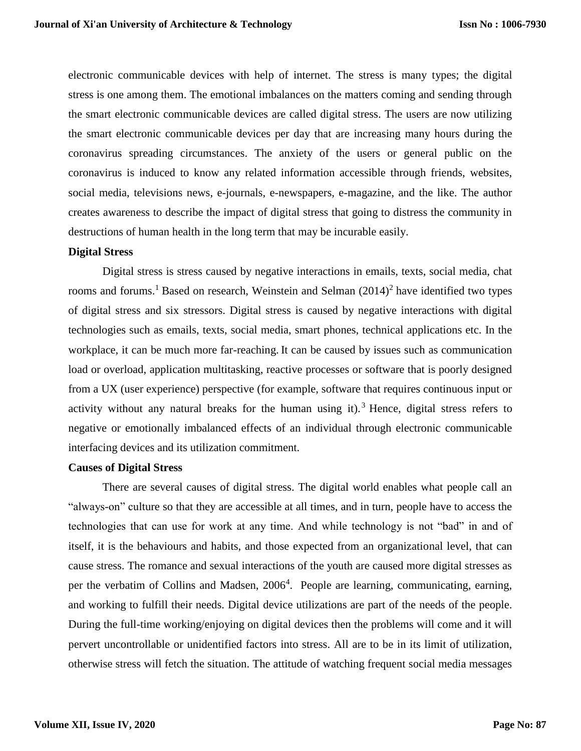electronic communicable devices with help of internet. The stress is many types; the digital stress is one among them. The emotional imbalances on the matters coming and sending through the smart electronic communicable devices are called digital stress. The users are now utilizing the smart electronic communicable devices per day that are increasing many hours during the coronavirus spreading circumstances. The anxiety of the users or general public on the coronavirus is induced to know any related information accessible through friends, websites, social media, televisions news, e-journals, e-newspapers, e-magazine, and the like. The author creates awareness to describe the impact of digital stress that going to distress the community in destructions of human health in the long term that may be incurable easily.

## **Digital Stress**

Digital stress is stress caused by negative interactions in emails, texts, social media, chat rooms and forums.<sup>1</sup> Based on research, Weinstein and Selman  $(2014)^2$  have identified two types of digital stress and six stressors. Digital stress is caused by negative interactions with digital technologies such as emails, texts, social media, smart phones, technical applications etc. In the workplace, it can be much more far-reaching. It can be caused by issues such as communication load or overload, application multitasking, reactive processes or software that is poorly designed from a UX (user experience) perspective (for example, software that requires continuous input or activity without any natural breaks for the human using it).<sup>3</sup> Hence, digital stress refers to negative or emotionally imbalanced effects of an individual through electronic communicable interfacing devices and its utilization commitment.

## **Causes of Digital Stress**

There are several causes of digital stress. The digital world enables what people call an "always-on" culture so that they are accessible at all times, and in turn, people have to access the technologies that can use for work at any time. And while technology is not "bad" in and of itself, it is the behaviours and habits, and those expected from an organizational level, that can cause stress. The romance and sexual interactions of the youth are caused more digital stresses as per the verbatim of Collins and Madsen, 2006<sup>4</sup>. People are learning, communicating, earning, and working to fulfill their needs. Digital device utilizations are part of the needs of the people. During the full-time working/enjoying on digital devices then the problems will come and it will pervert uncontrollable or unidentified factors into stress. All are to be in its limit of utilization, otherwise stress will fetch the situation. The attitude of watching frequent social media messages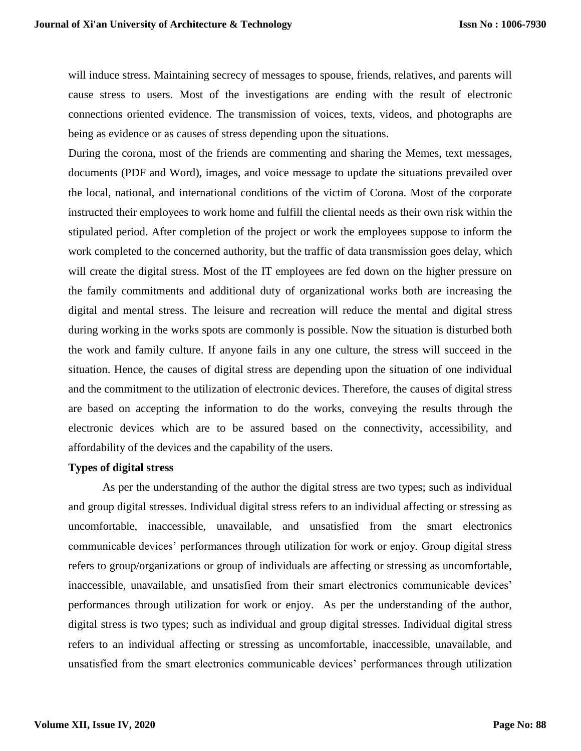will induce stress. Maintaining secrecy of messages to spouse, friends, relatives, and parents will cause stress to users. Most of the investigations are ending with the result of electronic connections oriented evidence. The transmission of voices, texts, videos, and photographs are being as evidence or as causes of stress depending upon the situations.

During the corona, most of the friends are commenting and sharing the Memes, text messages, documents (PDF and Word), images, and voice message to update the situations prevailed over the local, national, and international conditions of the victim of Corona. Most of the corporate instructed their employees to work home and fulfill the cliental needs as their own risk within the stipulated period. After completion of the project or work the employees suppose to inform the work completed to the concerned authority, but the traffic of data transmission goes delay, which will create the digital stress. Most of the IT employees are fed down on the higher pressure on the family commitments and additional duty of organizational works both are increasing the digital and mental stress. The leisure and recreation will reduce the mental and digital stress during working in the works spots are commonly is possible. Now the situation is disturbed both the work and family culture. If anyone fails in any one culture, the stress will succeed in the situation. Hence, the causes of digital stress are depending upon the situation of one individual and the commitment to the utilization of electronic devices. Therefore, the causes of digital stress are based on accepting the information to do the works, conveying the results through the electronic devices which are to be assured based on the connectivity, accessibility, and affordability of the devices and the capability of the users.

## **Types of digital stress**

As per the understanding of the author the digital stress are two types; such as individual and group digital stresses. Individual digital stress refers to an individual affecting or stressing as uncomfortable, inaccessible, unavailable, and unsatisfied from the smart electronics communicable devices' performances through utilization for work or enjoy. Group digital stress refers to group/organizations or group of individuals are affecting or stressing as uncomfortable, inaccessible, unavailable, and unsatisfied from their smart electronics communicable devices' performances through utilization for work or enjoy. As per the understanding of the author, digital stress is two types; such as individual and group digital stresses. Individual digital stress refers to an individual affecting or stressing as uncomfortable, inaccessible, unavailable, and unsatisfied from the smart electronics communicable devices' performances through utilization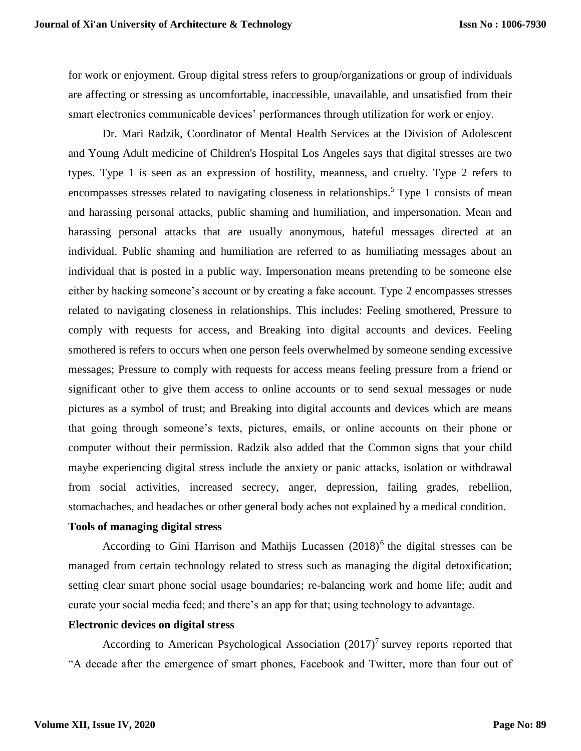for work or enjoyment. Group digital stress refers to group/organizations or group of individuals are affecting or stressing as uncomfortable, inaccessible, unavailable, and unsatisfied from their smart electronics communicable devices' performances through utilization for work or enjoy.

Dr. Mari Radzik, Coordinator of Mental Health Services at the Division of Adolescent and Young Adult medicine of Children's Hospital Los Angeles says that digital stresses are two types. Type 1 is seen as an expression of hostility, meanness, and cruelty. Type 2 refers to encompasses stresses related to navigating closeness in relationships.<sup>5</sup> Type 1 consists of mean and harassing personal attacks, public shaming and humiliation, and impersonation. Mean and harassing personal attacks that are usually anonymous, hateful messages directed at an individual. Public shaming and humiliation are referred to as humiliating messages about an individual that is posted in a public way. Impersonation means pretending to be someone else either by hacking someone's account or by creating a fake account. Type 2 encompasses stresses related to navigating closeness in relationships. This includes: Feeling smothered, Pressure to comply with requests for access, and Breaking into digital accounts and devices. Feeling smothered is refers to occurs when one person feels overwhelmed by someone sending excessive messages; Pressure to comply with requests for access means feeling pressure from a friend or significant other to give them access to online accounts or to send sexual messages or nude pictures as a symbol of trust; and Breaking into digital accounts and devices which are means that going through someone's texts, pictures, emails, or online accounts on their phone or computer without their permission. Radzik also added that the Common signs that your child maybe experiencing digital stress include the anxiety or panic attacks, isolation or withdrawal from social activities, increased secrecy, anger, depression, failing grades, rebellion, stomachaches, and headaches or other general body aches not explained by a medical condition.

## **Tools of managing digital stress**

According to Gini Harrison and Mathijs Lucassen  $(2018)^6$  the digital stresses can be managed from certain technology related to stress such as managing the digital detoxification; setting clear smart phone social usage boundaries; re-balancing work and home life; audit and curate your social media feed; and there's an app for that; using technology to advantage.

## **Electronic devices on digital stress**

According to American Psychological Association  $(2017)^7$  survey reports reported that "A decade after the emergence of smart phones, Facebook and Twitter, more than four out of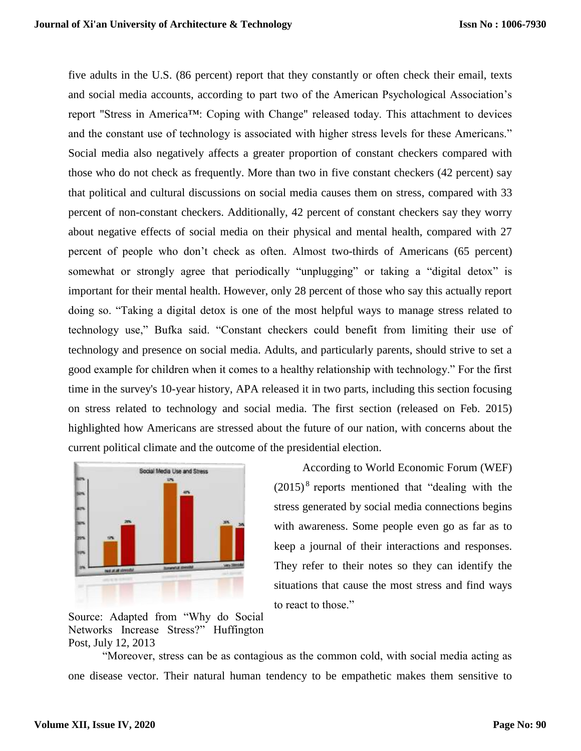five adults in the U.S. (86 percent) report that they constantly or often check their email, texts and social media accounts, according to part two of the American Psychological Association's report "Stress in America™: Coping with Change" released today. This attachment to devices and the constant use of technology is associated with higher stress levels for these Americans." Social media also negatively affects a greater proportion of constant checkers compared with those who do not check as frequently. More than two in five constant checkers (42 percent) say that political and cultural discussions on social media causes them on stress, compared with 33 percent of non-constant checkers. Additionally, 42 percent of constant checkers say they worry about negative effects of social media on their physical and mental health, compared with 27 percent of people who don't check as often. Almost two-thirds of Americans (65 percent) somewhat or strongly agree that periodically "unplugging" or taking a "digital detox" is important for their mental health. However, only 28 percent of those who say this actually report doing so. "Taking a digital detox is one of the most helpful ways to manage stress related to technology use," Bufka said. "Constant checkers could benefit from limiting their use of technology and presence on social media. Adults, and particularly parents, should strive to set a good example for children when it comes to a healthy relationship with technology." For the first time in the survey's 10-year history, APA released it in two parts, including this section focusing on stress related to technology and social media. The first section (released on Feb. 2015) highlighted how Americans are stressed about the future of our nation, with concerns about the current political climate and the outcome of the presidential election.



 According to World Economic Forum (WEF)  $(2015)^8$  reports mentioned that "dealing with the stress generated by social media connections begins with awareness. Some people even go as far as to keep a journal of their interactions and responses. They refer to their notes so they can identify the situations that cause the most stress and find ways to react to those."

Source: Adapted from "Why do Social Networks Increase Stress?" Huffington Post, July 12, 2013

"Moreover, stress can be as contagious as the common cold, with social media acting as one disease vector. Their natural human tendency to be empathetic makes them sensitive to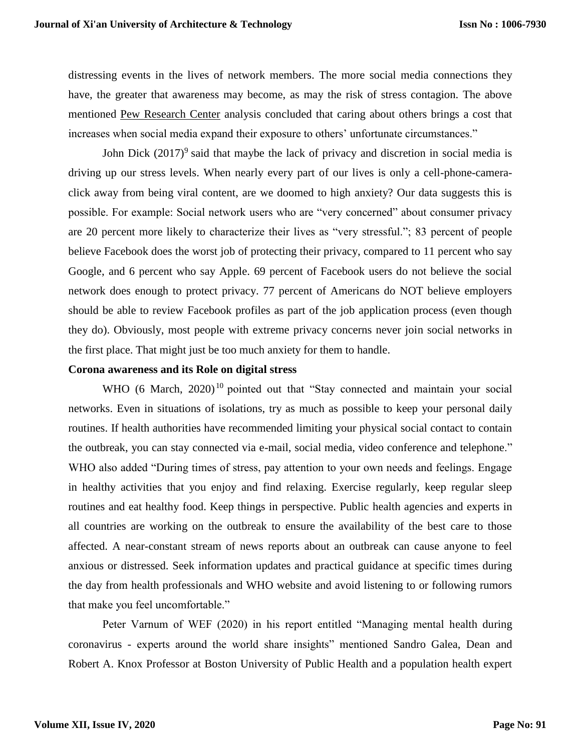distressing events in the lives of network members. The more social media connections they have, the greater that awareness may become, as may the risk of stress contagion. The above mentioned [Pew Research Center](https://www.huffpost.com/entry/social-networks-and-stress_b_3534170) analysis concluded that caring about others brings a cost that increases when social media expand their exposure to others' unfortunate circumstances."

John Dick  $(2017)^9$  said that maybe the lack of privacy and discretion in social media is driving up our stress levels. When nearly every part of our lives is only a cell-phone-cameraclick away from being viral content, are we doomed to high anxiety? Our data suggests this is possible. For example: Social network users who are "very concerned" about consumer privacy are 20 percent more likely to characterize their lives as "very stressful."; 83 percent of people believe Facebook does the worst job of protecting their privacy, compared to 11 percent who say Google, and 6 percent who say Apple. 69 percent of Facebook users do not believe the social network does enough to protect privacy. 77 percent of Americans do NOT believe employers should be able to review Facebook profiles as part of the job application process (even though they do). Obviously, most people with extreme privacy concerns never join social networks in the first place. That might just be too much anxiety for them to handle.

### **Corona awareness and its Role on digital stress**

WHO (6 March,  $2020$ )<sup>10</sup> pointed out that "Stay connected and maintain your social networks. Even in situations of isolations, try as much as possible to keep your personal daily routines. If health authorities have recommended limiting your physical social contact to contain the outbreak, you can stay connected via e-mail, social media, video conference and telephone." WHO also added "During times of stress, pay attention to your own needs and feelings. Engage in healthy activities that you enjoy and find relaxing. Exercise regularly, keep regular sleep routines and eat healthy food. Keep things in perspective. Public health agencies and experts in all countries are working on the outbreak to ensure the availability of the best care to those affected. A near-constant stream of news reports about an outbreak can cause anyone to feel anxious or distressed. Seek information updates and practical guidance at specific times during the day from health professionals and WHO website and avoid listening to or following rumors that make you feel uncomfortable."

Peter Varnum of WEF (2020) in his report entitled "Managing mental health during coronavirus - experts around the world share insights" mentioned Sandro Galea, Dean and Robert A. Knox Professor at Boston University of Public Health and a population health expert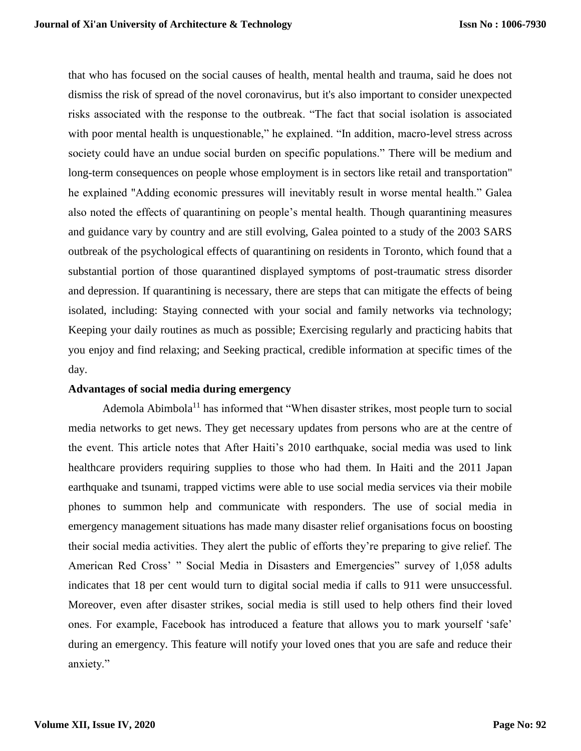that who has focused on the social causes of health, mental health and trauma, said he does not dismiss the risk of spread of the novel coronavirus, but it's also important to consider unexpected risks associated with the response to the outbreak. "The fact that social isolation is associated with poor mental health is unquestionable," he explained. "In addition, macro-level stress across society could have an undue social burden on specific populations." There will be medium and long-term consequences on people whose employment is in sectors like retail and transportation" he explained "Adding economic pressures will inevitably result in worse mental health." Galea also noted the effects of quarantining on people's mental health. Though quarantining measures and guidance vary by country and are still evolving, Galea pointed to a study of the 2003 SARS outbreak of the psychological effects of quarantining on residents in Toronto, which found that a substantial portion of those quarantined displayed symptoms of post-traumatic stress disorder and depression. If quarantining is necessary, there are steps that can mitigate the effects of being isolated, including: Staying connected with your social and family networks via technology; Keeping your daily routines as much as possible; Exercising regularly and practicing habits that you enjoy and find relaxing; and Seeking practical, credible information at specific times of the day.

## **Advantages of social media during emergency**

Ademola Abimbola<sup>11</sup> has informed that "When disaster strikes, most people turn to social media networks to get news. They get necessary updates from persons who are at the centre of the event. This article notes that After Haiti's 2010 earthquake, social media was used to link healthcare providers requiring supplies to those who had them. In Haiti and the 2011 Japan earthquake and tsunami, trapped victims were able to use social media services via their mobile phones to summon help and communicate with responders. The use of social media in emergency management situations has made many disaster relief organisations focus on boosting their social media activities. They alert the public of efforts they're preparing to give relief. The American Red Cross' " Social Media in Disasters and Emergencies" survey of 1,058 adults indicates that 18 per cent would turn to digital social media if calls to 911 were unsuccessful. Moreover, even after disaster strikes, social media is still used to help others find their loved ones. For example, Facebook has introduced a feature that allows you to mark yourself 'safe' during an emergency. This feature will notify your loved ones that you are safe and reduce their anxiety."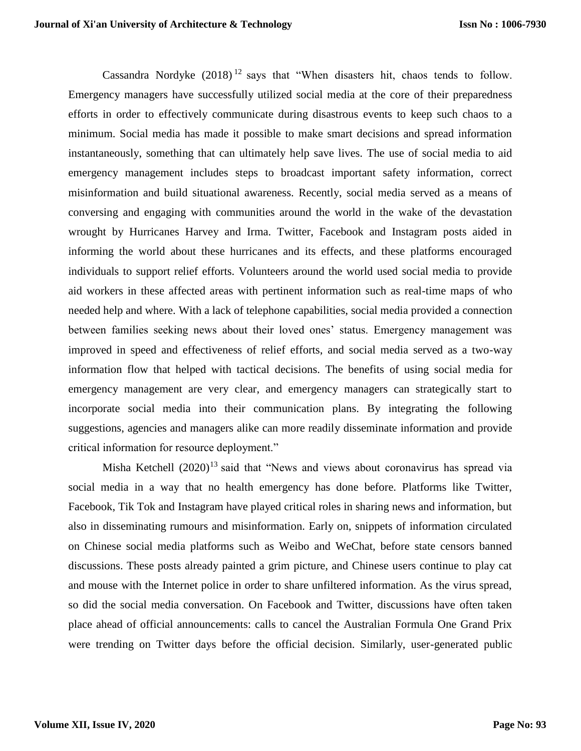Cassandra Nordyke  $(2018)^{12}$  says that "When disasters hit, chaos tends to follow. Emergency managers have successfully utilized social media at the core of their preparedness efforts in order to effectively communicate during disastrous events to keep such chaos to a minimum. Social media has made it possible to make smart decisions and spread information instantaneously, something that can ultimately help save lives. The use of social media to aid emergency management includes steps to broadcast important safety information, correct misinformation and build situational awareness. Recently, social media served as a means of conversing and engaging with communities around the world in the wake of the devastation wrought by Hurricanes Harvey and Irma. Twitter, Facebook and Instagram posts aided in informing the world about these hurricanes and its effects, and these platforms encouraged individuals to support relief efforts. Volunteers around the world used social media to provide aid workers in these affected areas with pertinent information such as real-time maps of who needed help and where. With a lack of telephone capabilities, social media provided a connection between families seeking news about their loved ones' status. Emergency management was improved in speed and effectiveness of relief efforts, and social media served as a two-way information flow that helped with tactical decisions. The benefits of using social media for emergency management are very clear, and emergency managers can strategically start to incorporate social media into their communication plans. By integrating the following suggestions, agencies and managers alike can more readily disseminate information and provide critical information for resource deployment."

Misha Ketchell  $(2020)^{13}$  said that "News and views about coronavirus has spread via social media in a way that no health emergency has done before. Platforms like Twitter, Facebook, Tik Tok and Instagram have played critical roles in sharing news and information, but also in disseminating rumours and misinformation. Early on, snippets of information circulated on Chinese social media platforms such as Weibo and WeChat, before state censors banned discussions. These posts already painted a grim picture, and Chinese users continue to play cat and mouse with the Internet police in order to share unfiltered information. As the virus spread, so did the social media conversation. On Facebook and Twitter, discussions have often taken place ahead of official announcements: calls to cancel the Australian Formula One Grand Prix were trending on Twitter days before the official decision. Similarly, user-generated public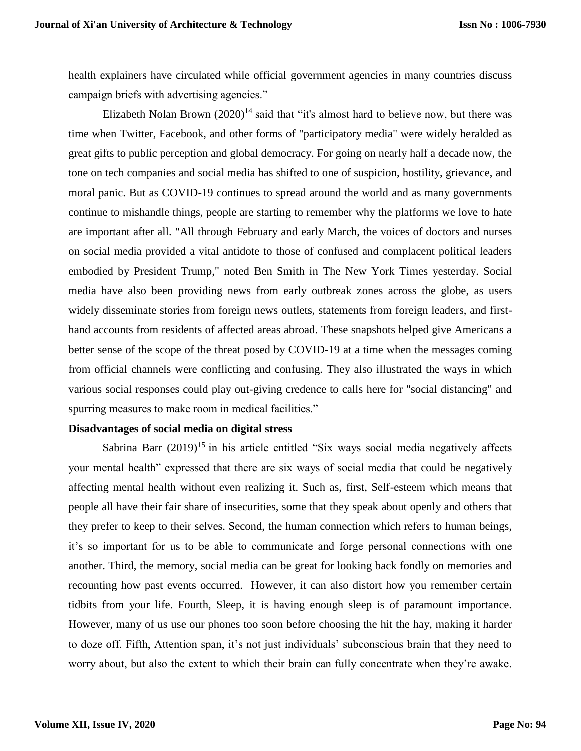health explainers have circulated while official government agencies in many countries discuss campaign briefs with advertising agencies."

Elizabeth Nolan Brown  $(2020)^{14}$  said that "it's almost hard to believe now, but there was time when Twitter, Facebook, and other forms of "participatory media" were widely heralded as great gifts to public perception and global democracy. For going on nearly half a decade now, the tone on tech companies and social media has shifted to one of suspicion, hostility, grievance, and moral panic. But as COVID-19 continues to spread around the world and as many governments continue to mishandle things, people are starting to remember why the platforms we love to hate are important after all. "All through February and early March, the voices of doctors and nurses on social media provided a vital antidote to those of confused and complacent political leaders embodied by President Trump," noted Ben Smith in The New York Times yesterday. Social media have also been providing news from early outbreak zones across the globe, as users widely disseminate stories from foreign news outlets, statements from foreign leaders, and firsthand accounts from residents of affected areas abroad. These snapshots helped give Americans a better sense of the scope of the threat posed by COVID-19 at a time when the messages coming from official channels were conflicting and confusing. They also illustrated the ways in which various social responses could play out-giving credence to calls here for "social distancing" and spurring measures to make room in medical facilities."

#### **Disadvantages of social media on digital stress**

Sabrina Barr  $(2019)^{15}$  in his article entitled "Six ways social media negatively affects your mental health" expressed that there are six ways of social media that could be negatively affecting mental health without even realizing it. Such as, first, Self-esteem which means that people all have their fair share of insecurities, some that they speak about openly and others that they prefer to keep to their selves. Second, the human connection which refers to human beings, it's so important for us to be able to communicate and forge personal connections with one another. Third, the memory, social media can be great for looking back fondly on memories and recounting how past events occurred. However, it can also distort how you remember certain tidbits from your life. Fourth, Sleep, it is having enough sleep is of paramount importance. However, many of us use our phones too soon before choosing the hit the hay, making it harder to doze off. Fifth, Attention span, it's not just individuals' subconscious brain that they need to worry about, but also the extent to which their brain can fully concentrate when they're awake.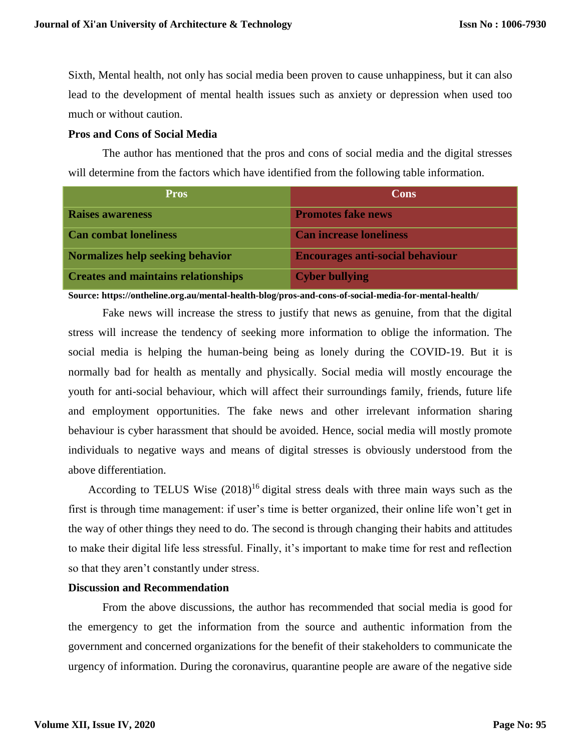Sixth, Mental health, not only has social media been proven to cause unhappiness, but it can also lead to the development of mental health issues such as anxiety or depression when used too much or without caution.

## **Pros and Cons of Social Media**

The author has mentioned that the pros and cons of social media and the digital stresses will determine from the factors which have identified from the following table information.

| <b>Pros</b>                                | Cons                                    |
|--------------------------------------------|-----------------------------------------|
| <b>Raises awareness</b>                    | <b>Promotes fake news</b>               |
| <b>Can combat loneliness</b>               | <b>Can increase loneliness</b>          |
| Normalizes help seeking behavior           | <b>Encourages anti-social behaviour</b> |
| <b>Creates and maintains relationships</b> | <b>Cyber bullying</b>                   |

**Source: https://ontheline.org.au/mental-health-blog/pros-and-cons-of-social-media-for-mental-health/**

Fake news will increase the stress to justify that news as genuine, from that the digital stress will increase the tendency of seeking more information to oblige the information. The social media is helping the human-being being as lonely during the COVID-19. But it is normally bad for health as mentally and physically. Social media will mostly encourage the youth for anti-social behaviour, which will affect their surroundings family, friends, future life and employment opportunities. The fake news and other irrelevant information sharing behaviour is cyber harassment that should be avoided. Hence, social media will mostly promote individuals to negative ways and means of digital stresses is obviously understood from the above differentiation.

According to TELUS Wise  $(2018)^{16}$  digital stress deals with three main ways such as the first is through time management: if user's time is better organized, their online life won't get in the way of other things they need to do. The second is through changing their habits and attitudes to make their digital life less stressful. Finally, it's important to make time for rest and reflection so that they aren't constantly under stress.

# **Discussion and Recommendation**

From the above discussions, the author has recommended that social media is good for the emergency to get the information from the source and authentic information from the government and concerned organizations for the benefit of their stakeholders to communicate the urgency of information. During the coronavirus, quarantine people are aware of the negative side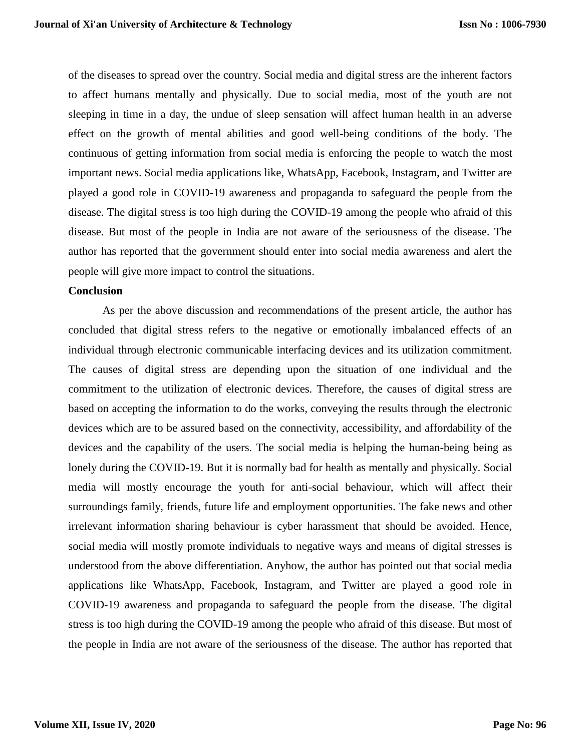of the diseases to spread over the country. Social media and digital stress are the inherent factors to affect humans mentally and physically. Due to social media, most of the youth are not sleeping in time in a day, the undue of sleep sensation will affect human health in an adverse effect on the growth of mental abilities and good well-being conditions of the body. The continuous of getting information from social media is enforcing the people to watch the most important news. Social media applications like, WhatsApp, Facebook, Instagram, and Twitter are played a good role in COVID-19 awareness and propaganda to safeguard the people from the disease. The digital stress is too high during the COVID-19 among the people who afraid of this disease. But most of the people in India are not aware of the seriousness of the disease. The author has reported that the government should enter into social media awareness and alert the people will give more impact to control the situations.

## **Conclusion**

As per the above discussion and recommendations of the present article, the author has concluded that digital stress refers to the negative or emotionally imbalanced effects of an individual through electronic communicable interfacing devices and its utilization commitment. The causes of digital stress are depending upon the situation of one individual and the commitment to the utilization of electronic devices. Therefore, the causes of digital stress are based on accepting the information to do the works, conveying the results through the electronic devices which are to be assured based on the connectivity, accessibility, and affordability of the devices and the capability of the users. The social media is helping the human-being being as lonely during the COVID-19. But it is normally bad for health as mentally and physically. Social media will mostly encourage the youth for anti-social behaviour, which will affect their surroundings family, friends, future life and employment opportunities. The fake news and other irrelevant information sharing behaviour is cyber harassment that should be avoided. Hence, social media will mostly promote individuals to negative ways and means of digital stresses is understood from the above differentiation. Anyhow, the author has pointed out that social media applications like WhatsApp, Facebook, Instagram, and Twitter are played a good role in COVID-19 awareness and propaganda to safeguard the people from the disease. The digital stress is too high during the COVID-19 among the people who afraid of this disease. But most of the people in India are not aware of the seriousness of the disease. The author has reported that